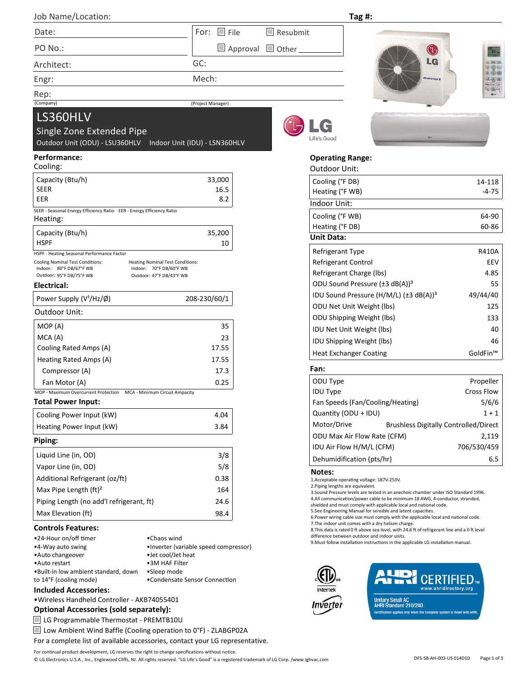| $\sim$ |  |
|--------|--|

GC:

Mech:

(Project Manager)

**Tag #:**

**Operating Range:** Outdoor Unit:

G Life's Good





Single Zone Extended Pipe Outdoor Unit (ODU) - LSU360HLV Indoor Unit (IDU) - LSN360HLV

#### **Performance:**

LS360HLV

Date:

Engr:

Rep:<br>(Company)

PO No.: Architect:

Job Name/Location:

| Cooling:                                                                                                                                                                                               |              |
|--------------------------------------------------------------------------------------------------------------------------------------------------------------------------------------------------------|--------------|
| Capacity (Btu/h)                                                                                                                                                                                       | 33,000       |
| SEER                                                                                                                                                                                                   | 16.5         |
| EER                                                                                                                                                                                                    | 8.2          |
| SEER - Seasonal Energy Efficiency Ratio EER - Energy Efficiency Ratio<br>Heating:                                                                                                                      |              |
| Capacity (Btu/h)                                                                                                                                                                                       | 35,200       |
| HSPF                                                                                                                                                                                                   | 10           |
| HSPF - Heating Seasonal Performance Factor                                                                                                                                                             |              |
| <b>Cooling Nominal Test Conditions:</b><br><b>Heating Nominal Test Conditions:</b><br>80°F DB/67°F WB<br>70°F DB/60°F WB<br>Indoor:<br>Indoor:<br>Outdoor: 95°F DB/75°F WB<br>Outdoor: 47°F DB/43°F WB |              |
| Electrical:                                                                                                                                                                                            |              |
| Power Supply (V <sup>1</sup> /Hz/Ø)                                                                                                                                                                    | 208-230/60/1 |
| Outdoor Unit:                                                                                                                                                                                          |              |
| MOP (A)                                                                                                                                                                                                | 35           |
| MCA(A)                                                                                                                                                                                                 | 23           |
| Cooling Rated Amps (A)                                                                                                                                                                                 | 17.55        |
| Heating Rated Amps (A)                                                                                                                                                                                 | 17.55        |
| Compressor (A)                                                                                                                                                                                         | 17.3         |
| Fan Motor (A)                                                                                                                                                                                          | 0.25         |
| MOP - Maximum Overcurrent Protection<br>MCA - Minimum Circuit Ampacity                                                                                                                                 |              |
| <b>Total Power Input:</b>                                                                                                                                                                              |              |
| Cooling Power Input (kW)                                                                                                                                                                               | 4.04         |
| Heating Power Input (kW)                                                                                                                                                                               | 3.84         |
| Piping:                                                                                                                                                                                                |              |
| Liquid Line (in, OD)                                                                                                                                                                                   | 3/8          |
| Vapor Line (in, OD)                                                                                                                                                                                    | 5/8          |
| Additional Refrigerant (oz/ft)                                                                                                                                                                         | 0.38         |
| Max Pipe Length $(ft)^2$                                                                                                                                                                               | 164          |
| Piping Length (no add'l refrigerant, ft)                                                                                                                                                               | 24.6         |
| Max Elevation (ft)                                                                                                                                                                                     | 98.4         |

#### **Controls Features:**

| •24-Hour on/off timer                 | •Chaos wind                           |
|---------------------------------------|---------------------------------------|
| •4-Way auto swing                     | •Inverter (variable speed compressor) |
| •Auto changeover                      | •Jet cool/Jet heat                    |
| •Auto restart                         | •3M HAF Filter                        |
| . Built-in low ambient standard, down | •Sleep mode                           |
| to 14°F (cooling mode)                | •Condensate Sensor Connection         |

#### **Included Accessories:**

•Wireless Handheld Controller - AKB74055401

### **Optional Accessories (sold separately):**

LG Programmable Thermostat - PREMTB10U

Low Ambient Wind Baffle (Cooling operation to 0°F) - ZLABGP02A

For a complete list of available accessories, contact your LG representative.



Approval Other

Resubmit

| <b>Unit Data:</b>                                    |          |
|------------------------------------------------------|----------|
| <b>Refrigerant Type</b>                              | R410A    |
| Refrigerant Control                                  | EEV      |
| Refrigerant Charge (lbs)                             | 4.85     |
| ODU Sound Pressure $(\pm 3 \text{ dB}(A))^3$         | 55       |
| IDU Sound Pressure (H/M/L) $(\pm 3 \text{ dB}(A))^3$ | 49/44/40 |
| <b>ODU Net Unit Weight (lbs)</b>                     | 125      |
| <b>ODU Shipping Weight (lbs)</b>                     | 133      |
| IDU Net Unit Weight (lbs)                            | 40       |
| <b>IDU Shipping Weight (lbs)</b>                     | 46       |
| <b>Heat Exchanger Coating</b>                        | GoldFin™ |

Cooling (°F DB) 14-118

#### **Fan:**

| ODU Type                           | Propeller                                    |
|------------------------------------|----------------------------------------------|
| <b>IDU Type</b>                    | Cross Flow                                   |
| Fan Speeds (Fan/Cooling/Heating)   | 5/6/6                                        |
| Quantity (ODU + IDU)               | $1 + 1$                                      |
| Motor/Drive                        | <b>Brushless Digitally Controlled/Direct</b> |
| <b>ODU Max Air Flow Rate (CFM)</b> | 2,119                                        |
| IDU Air Flow H/M/L (CFM)           | 706/530/459                                  |
| Dehumidification (pts/hr)          | 6.5                                          |

#### **Notes:**

1.Acceptable operaƟng voltage: 187V-253V.

2.Piping lengths are equivalent.

3.Sound Pressure levels are tested in an anechoic chamber under ISO Standard 1996. 4.All communication/power cable to be minimum 18 AWG, 4-conductor, stranded, shielded and must comply with applicable local and national code.

5.See Engineering Manual for sensible and latent capacities.

6. Power wiring cable size must comply with the applicable local and national code.

7. The indoor unit comes with a dry helium charge. 8. This data is rated 0 ft above sea level, with 24.6 ft of refrigerant line and a 0 ft level

difference between outdoor and indoor units.

9. Must follow installation instructions in the applicable LG installation manual.





DFS-SB-AH-003-US 014D10 Page 1 of 3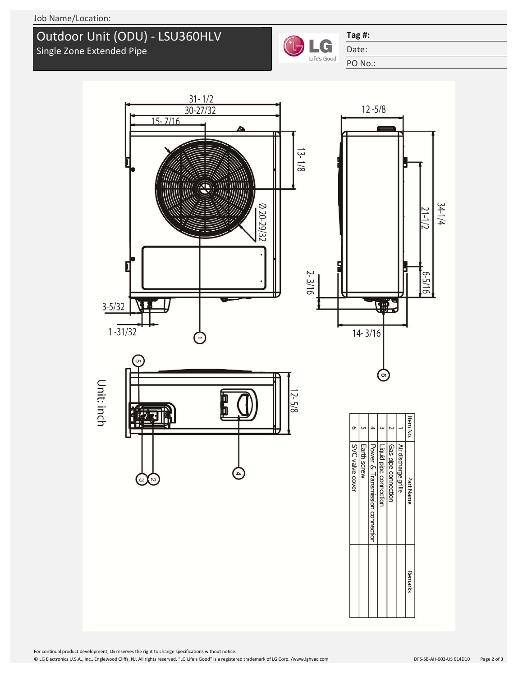## Single Zone Extended Pipe Outdoor Unit (ODU) - LSU360HLV



### **Tag #:**

Date:

PO No.: